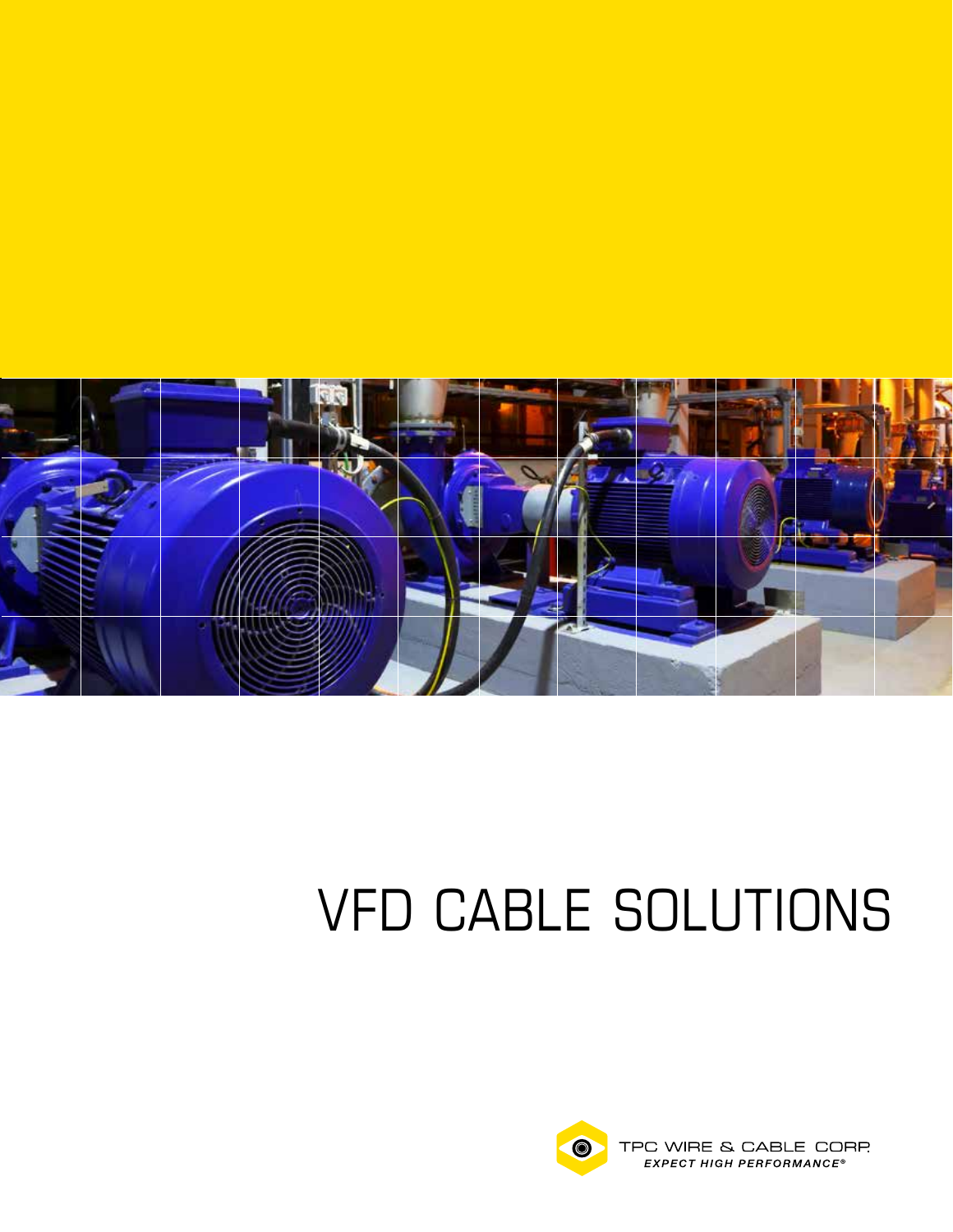

# VFD CABLE SOLUTIONS

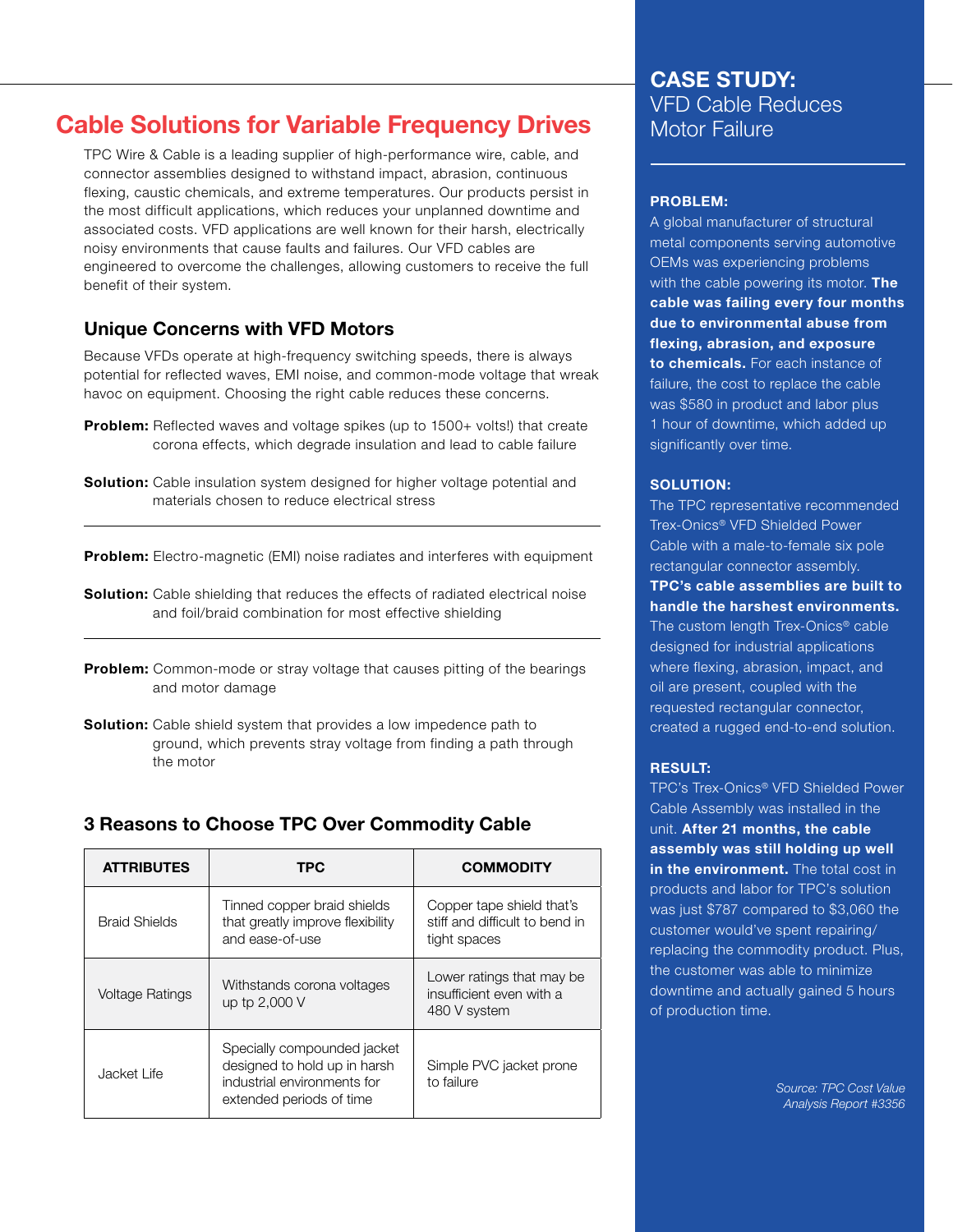# Cable Solutions for Variable Frequency Drives

TPC Wire & Cable is a leading supplier of high-performance wire, cable, and connector assemblies designed to withstand impact, abrasion, continuous flexing, caustic chemicals, and extreme temperatures. Our products persist in the most difficult applications, which reduces your unplanned downtime and associated costs. VFD applications are well known for their harsh, electrically noisy environments that cause faults and failures. Our VFD cables are engineered to overcome the challenges, allowing customers to receive the full benefit of their system.

## Unique Concerns with VFD Motors

Because VFDs operate at high-frequency switching speeds, there is always potential for reflected waves, EMI noise, and common-mode voltage that wreak havoc on equipment. Choosing the right cable reduces these concerns.

- **Problem:** Reflected waves and voltage spikes (up to 1500+ volts!) that create corona effects, which degrade insulation and lead to cable failure
- **Solution:** Cable insulation system designed for higher voltage potential and materials chosen to reduce electrical stress

Problem: Electro-magnetic (EMI) noise radiates and interferes with equipment

- **Solution:** Cable shielding that reduces the effects of radiated electrical noise and foil/braid combination for most effective shielding
- **Problem:** Common-mode or stray voltage that causes pitting of the bearings and motor damage
- Solution: Cable shield system that provides a low impedence path to ground, which prevents stray voltage from finding a path through the motor

#### 3 Reasons to Choose TPC Over Commodity Cable

| <b>ATTRIBUTES</b>      | TPC                                                                                                                    | <b>COMMODITY</b>                                                            |
|------------------------|------------------------------------------------------------------------------------------------------------------------|-----------------------------------------------------------------------------|
| <b>Braid Shields</b>   | Tinned copper braid shields<br>that greatly improve flexibility<br>and ease-of-use                                     | Copper tape shield that's<br>stiff and difficult to bend in<br>tight spaces |
| <b>Voltage Ratings</b> | Withstands corona voltages<br>up tp 2,000 V                                                                            | Lower ratings that may be<br>insufficient even with a<br>480 V system       |
| Jacket Life            | Specially compounded jacket<br>designed to hold up in harsh<br>industrial environments for<br>extended periods of time | Simple PVC jacket prone<br>to failure                                       |

## CASE STUDY: VFD Cable Reduces Motor Failure

#### PROBLEM:

A global manufacturer of structural metal components serving automotive OEMs was experiencing problems with the cable powering its motor. The cable was failing every four months due to environmental abuse from flexing, abrasion, and exposure to chemicals. For each instance of failure, the cost to replace the cable was \$580 in product and labor plus 1 hour of downtime, which added up significantly over time.

#### SOLUTION:

The TPC representative recommended Trex-Onics® VFD Shielded Power Cable with a male-to-female six pole rectangular connector assembly.

TPC's cable assemblies are built to handle the harshest environments. The custom length Trex-Onics<sup>®</sup> cable designed for industrial applications where flexing, abrasion, impact, and oil are present, coupled with the requested rectangular connector, created a rugged end-to-end solution.

#### RESULT:

TPC's Trex-Onics® VFD Shielded Power Cable Assembly was installed in the unit. After 21 months, the cable assembly was still holding up well in the environment. The total cost in products and labor for TPC's solution was just \$787 compared to \$3,060 the customer would've spent repairing/ replacing the commodity product. Plus, the customer was able to minimize downtime and actually gained 5 hours of production time.

> *Source: TPC Cost Value Analysis Report #3356*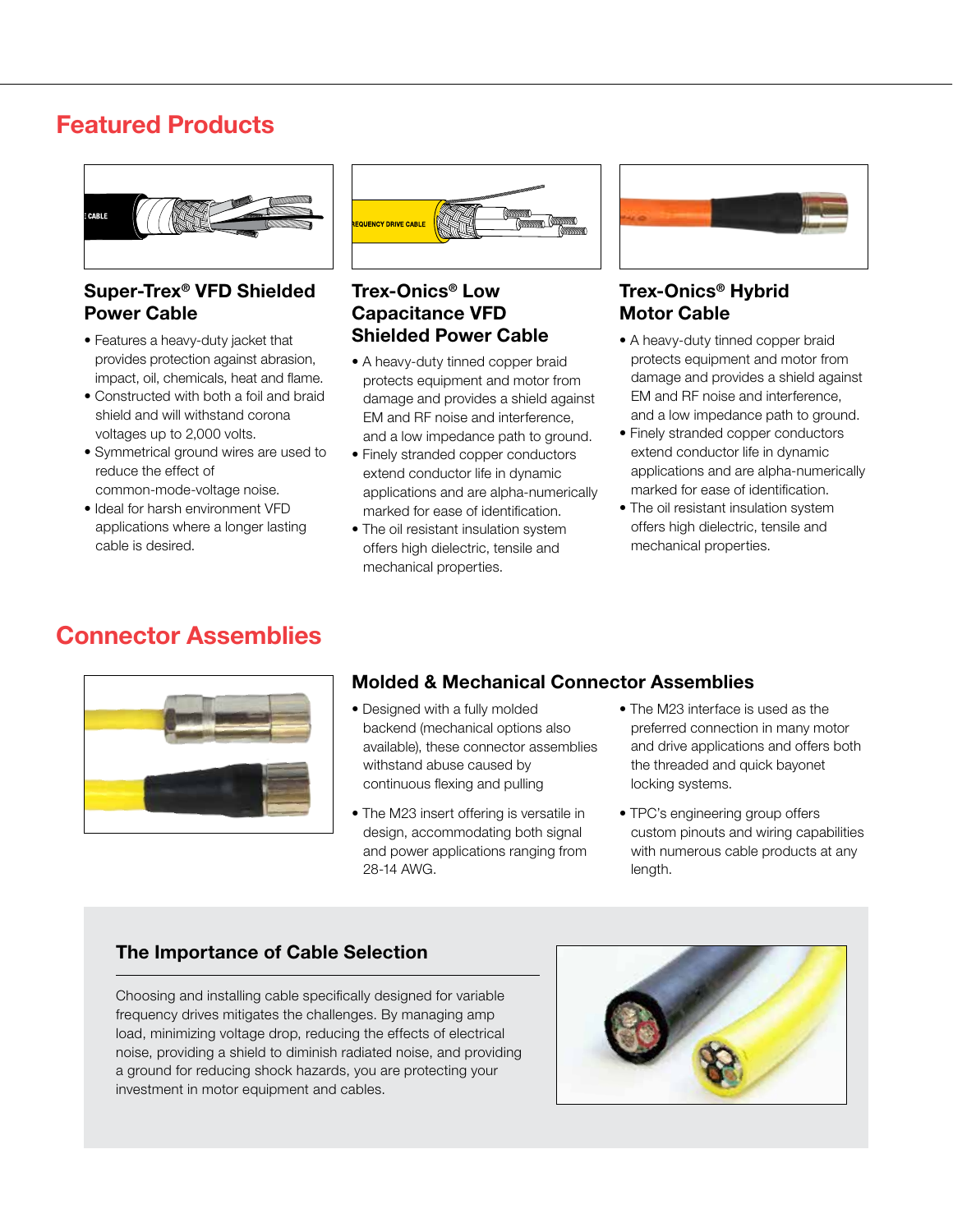# Featured Products



#### Super-Trex® VFD Shielded Power Cable

- Features a heavy-duty jacket that provides protection against abrasion, impact, oil, chemicals, heat and flame.
- Constructed with both a foil and braid shield and will withstand corona voltages up to 2,000 volts.
- Symmetrical ground wires are used to reduce the effect of common-mode-voltage noise.
- Ideal for harsh environment VFD applications where a longer lasting cable is desired.



#### Trex-Onics® Low Capacitance VFD Shielded Power Cable

- A heavy-duty tinned copper braid protects equipment and motor from damage and provides a shield against EM and RF noise and interference, and a low impedance path to ground.
- Finely stranded copper conductors extend conductor life in dynamic applications and are alpha-numerically marked for ease of identification.
- The oil resistant insulation system offers high dielectric, tensile and mechanical properties.



#### Trex-Onics® Hybrid Motor Cable

- A heavy-duty tinned copper braid protects equipment and motor from damage and provides a shield against EM and RF noise and interference, and a low impedance path to ground.
- Finely stranded copper conductors extend conductor life in dynamic applications and are alpha-numerically marked for ease of identification.
- The oil resistant insulation system offers high dielectric, tensile and mechanical properties.

# Connector Assemblies



## Molded & Mechanical Connector Assemblies

- Designed with a fully molded backend (mechanical options also available), these connector assemblies withstand abuse caused by continuous flexing and pulling
- The M23 insert offering is versatile in design, accommodating both signal and power applications ranging from 28-14 AWG.
- The M23 interface is used as the preferred connection in many motor and drive applications and offers both the threaded and quick bayonet locking systems.
- TPC's engineering group offers custom pinouts and wiring capabilities with numerous cable products at any length.

## The Importance of Cable Selection

Choosing and installing cable specifically designed for variable frequency drives mitigates the challenges. By managing amp load, minimizing voltage drop, reducing the effects of electrical noise, providing a shield to diminish radiated noise, and providing a ground for reducing shock hazards, you are protecting your investment in motor equipment and cables.